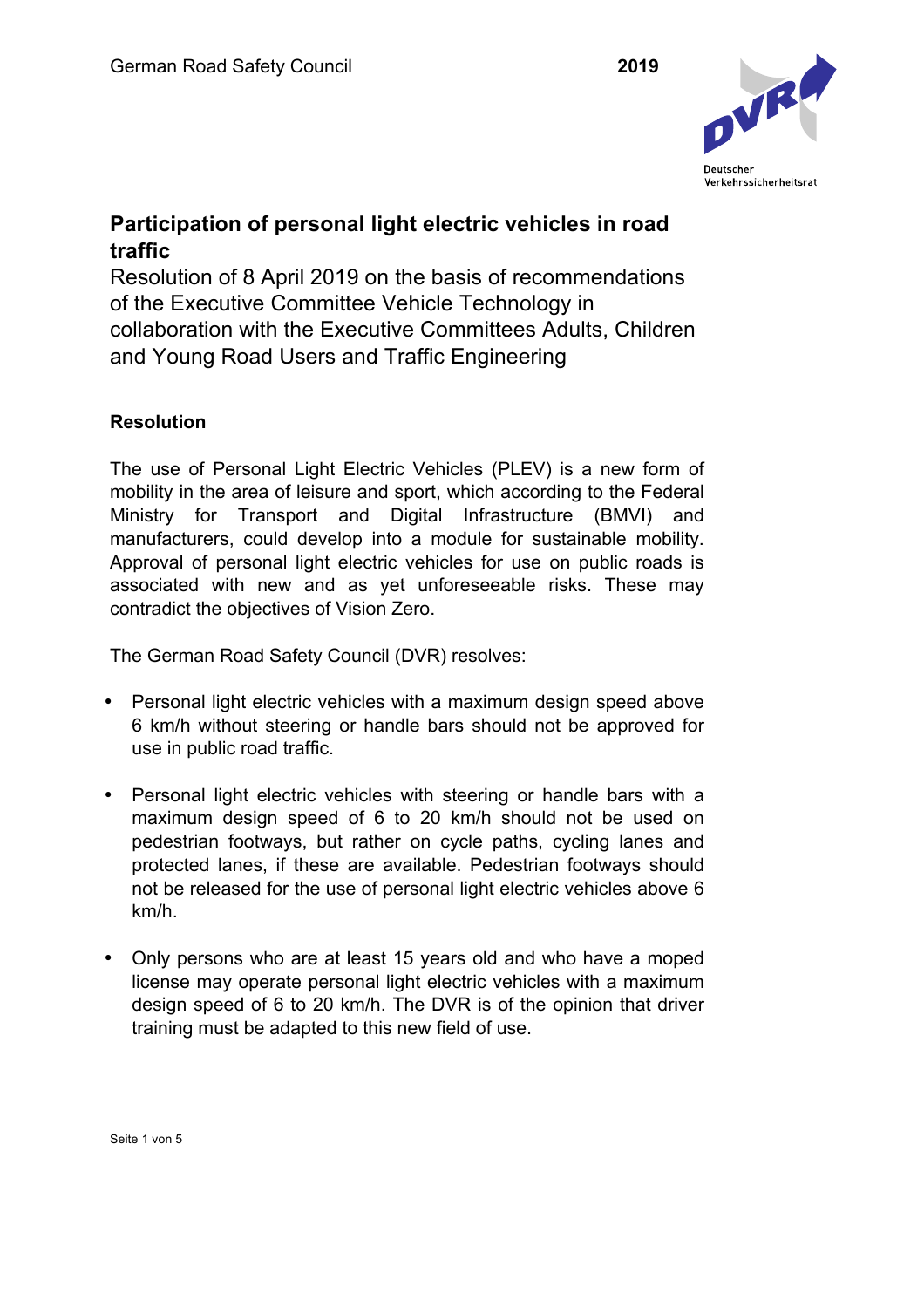

## **Participation of personal light electric vehicles in road traffic**

Resolution of 8 April 2019 on the basis of recommendations of the Executive Committee Vehicle Technology in collaboration with the Executive Committees Adults, Children and Young Road Users and Traffic Engineering

## **Resolution**

The use of Personal Light Electric Vehicles (PLEV) is a new form of mobility in the area of leisure and sport, which according to the Federal Ministry for Transport and Digital Infrastructure (BMVI) and manufacturers, could develop into a module for sustainable mobility. Approval of personal light electric vehicles for use on public roads is associated with new and as yet unforeseeable risks. These may contradict the objectives of Vision Zero.

The German Road Safety Council (DVR) resolves:

- Personal light electric vehicles with a maximum design speed above 6 km/h without steering or handle bars should not be approved for use in public road traffic.
- Personal light electric vehicles with steering or handle bars with a maximum design speed of 6 to 20 km/h should not be used on pedestrian footways, but rather on cycle paths, cycling lanes and protected lanes, if these are available. Pedestrian footways should not be released for the use of personal light electric vehicles above 6 km/h.
- Only persons who are at least 15 years old and who have a moped license may operate personal light electric vehicles with a maximum design speed of 6 to 20 km/h. The DVR is of the opinion that driver training must be adapted to this new field of use.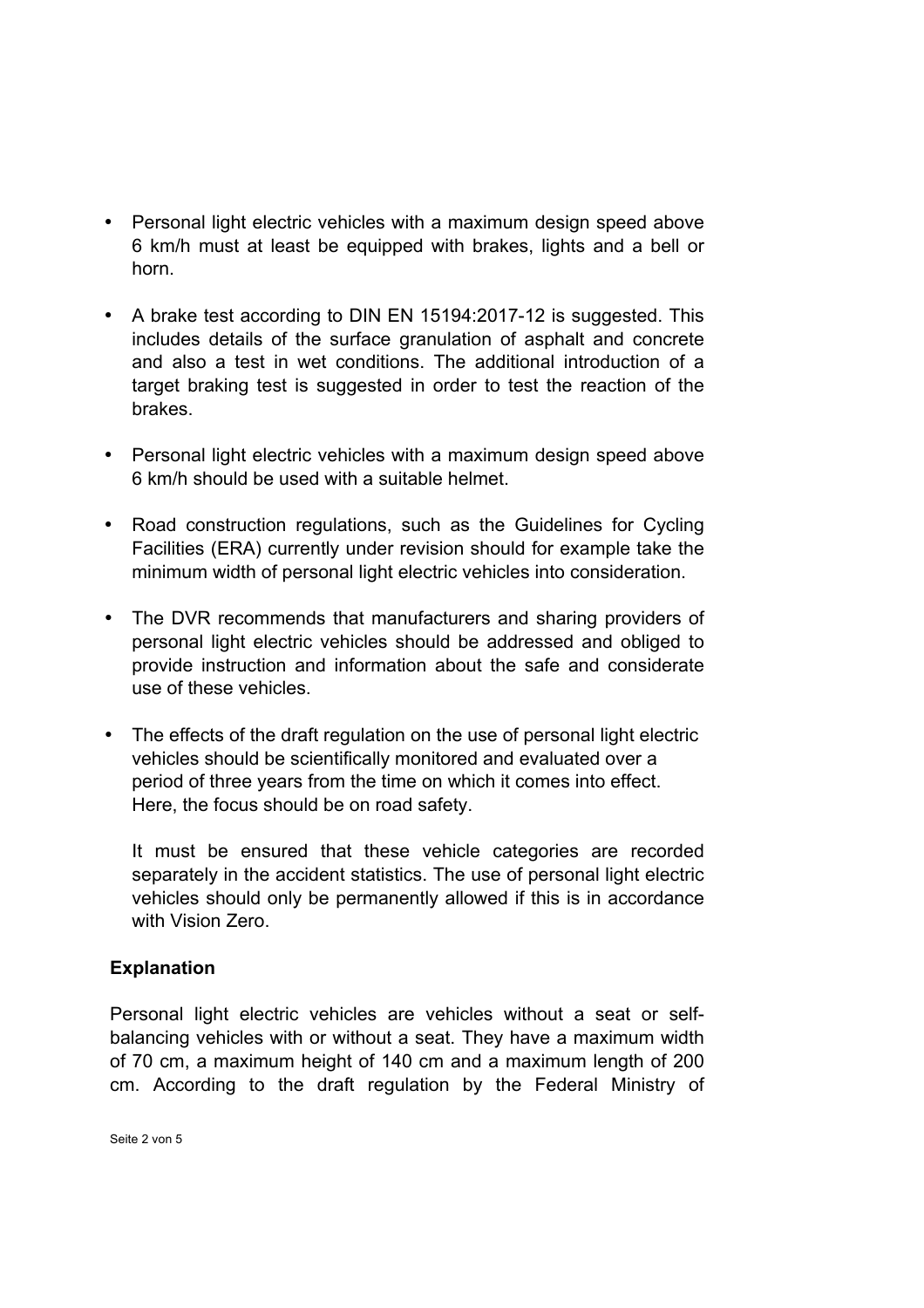- Personal light electric vehicles with a maximum design speed above 6 km/h must at least be equipped with brakes, lights and a bell or horn.
- A brake test according to DIN EN 15194:2017-12 is suggested. This includes details of the surface granulation of asphalt and concrete and also a test in wet conditions. The additional introduction of a target braking test is suggested in order to test the reaction of the brakes.
- Personal light electric vehicles with a maximum design speed above 6 km/h should be used with a suitable helmet.
- Road construction regulations, such as the Guidelines for Cycling Facilities (ERA) currently under revision should for example take the minimum width of personal light electric vehicles into consideration.
- The DVR recommends that manufacturers and sharing providers of personal light electric vehicles should be addressed and obliged to provide instruction and information about the safe and considerate use of these vehicles.
- The effects of the draft regulation on the use of personal light electric vehicles should be scientifically monitored and evaluated over a period of three years from the time on which it comes into effect. Here, the focus should be on road safety.

It must be ensured that these vehicle categories are recorded separately in the accident statistics. The use of personal light electric vehicles should only be permanently allowed if this is in accordance with Vision Zero.

## **Explanation**

Personal light electric vehicles are vehicles without a seat or selfbalancing vehicles with or without a seat. They have a maximum width of 70 cm, a maximum height of 140 cm and a maximum length of 200 cm. According to the draft regulation by the Federal Ministry of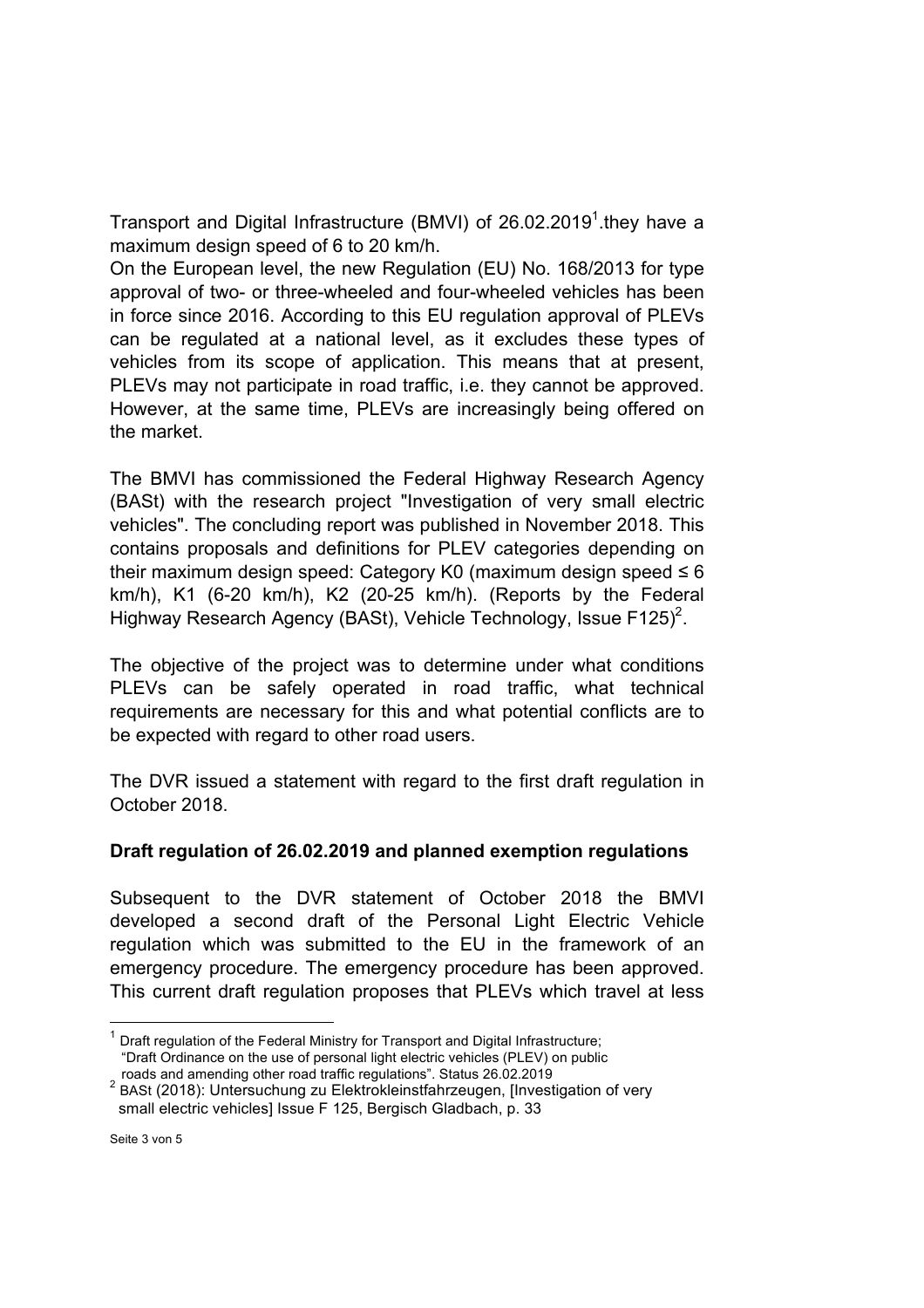Transport and Digital Infrastructure (BMVI) of 26.02.2019<sup>1</sup>.they have a maximum design speed of 6 to 20 km/h.

On the European level, the new Regulation (EU) No. 168/2013 for type approval of two- or three-wheeled and four-wheeled vehicles has been in force since 2016. According to this EU regulation approval of PLEVs can be regulated at a national level, as it excludes these types of vehicles from its scope of application. This means that at present, PLEVs may not participate in road traffic, i.e. they cannot be approved. However, at the same time, PLEVs are increasingly being offered on the market.

The BMVI has commissioned the Federal Highway Research Agency (BASt) with the research project "Investigation of very small electric vehicles". The concluding report was published in November 2018. This contains proposals and definitions for PLEV categories depending on their maximum design speed: Category K0 (maximum design speed  $\leq 6$ ) km/h), K1 (6-20 km/h), K2 (20-25 km/h). (Reports by the Federal Highway Research Agency (BASt), Vehicle Technology, Issue F125)<sup>2</sup>.

The objective of the project was to determine under what conditions PLEVs can be safely operated in road traffic, what technical requirements are necessary for this and what potential conflicts are to be expected with regard to other road users.

The DVR issued a statement with regard to the first draft regulation in October 2018.

## **Draft regulation of 26.02.2019 and planned exemption regulations**

Subsequent to the DVR statement of October 2018 the BMVI developed a second draft of the Personal Light Electric Vehicle regulation which was submitted to the EU in the framework of an emergency procedure. The emergency procedure has been approved. This current draft regulation proposes that PLEVs which travel at less

Draft regulation of the Federal Ministry for Transport and Digital Infrastructure; "Draft Ordinance on the use of personal light electric vehicles (PLEV) on public

roads and amending other road traffic regulations". Status 26.02.2019 <sup>2</sup> BASt (2018): Untersuchung zu Elektrokleinstfahrzeugen, [Investigation of very small electric vehicles] Issue F 125, Bergisch Gladbach, p. 33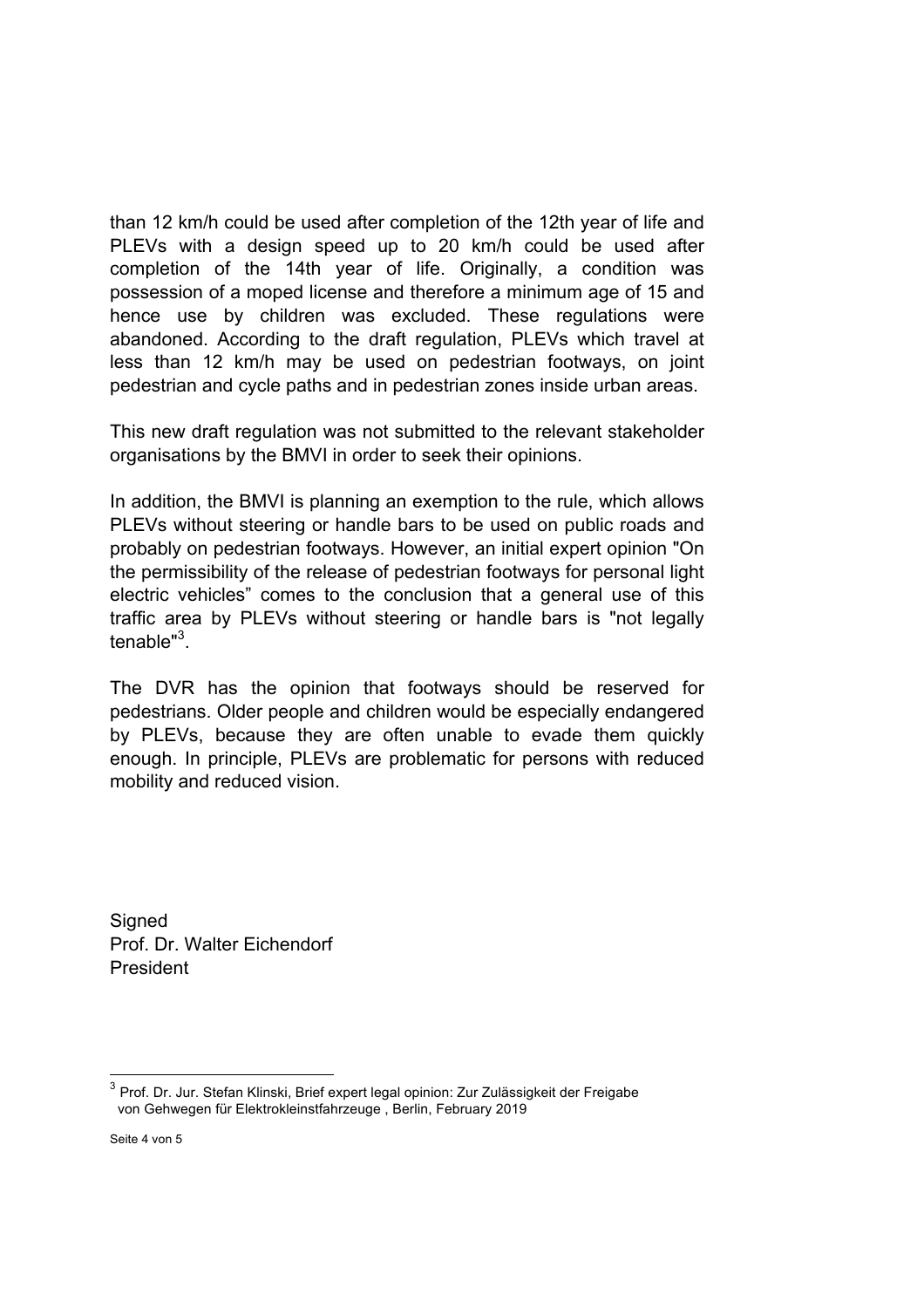than 12 km/h could be used after completion of the 12th year of life and PLEVs with a design speed up to 20 km/h could be used after completion of the 14th year of life. Originally, a condition was possession of a moped license and therefore a minimum age of 15 and hence use by children was excluded. These regulations were abandoned. According to the draft regulation, PLEVs which travel at less than 12 km/h may be used on pedestrian footways, on joint pedestrian and cycle paths and in pedestrian zones inside urban areas.

This new draft regulation was not submitted to the relevant stakeholder organisations by the BMVI in order to seek their opinions.

In addition, the BMVI is planning an exemption to the rule, which allows PLEVs without steering or handle bars to be used on public roads and probably on pedestrian footways. However, an initial expert opinion "On the permissibility of the release of pedestrian footways for personal light electric vehicles" comes to the conclusion that a general use of this traffic area by PLEVs without steering or handle bars is "not legally tenable"<sup>3</sup>.

The DVR has the opinion that footways should be reserved for pedestrians. Older people and children would be especially endangered by PLEVs, because they are often unable to evade them quickly enough. In principle, PLEVs are problematic for persons with reduced mobility and reduced vision.

Signed Prof. Dr. Walter Eichendorf President

 <sup>3</sup> Prof. Dr. Jur. Stefan Klinski, Brief expert legal opinion: Zur Zulässigkeit der Freigabe von Gehwegen für Elektrokleinstfahrzeuge , Berlin, February 2019